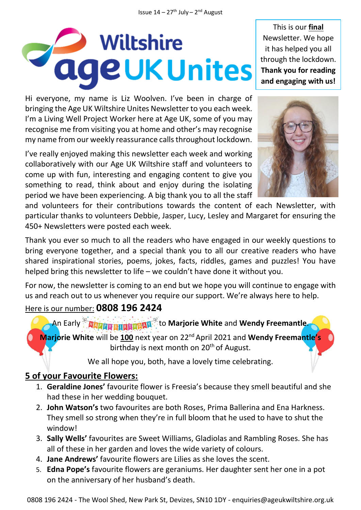# Wiltshire **Tage UK Unites**

Hi everyone, my name is Liz Woolven. I've been in charge of bringing the Age UK Wiltshire Unites Newsletter to you each week. I'm a Living Well Project Worker here at Age UK, some of you may recognise me from visiting you at home and other's may recognise my name from our weekly reassurance calls throughout lockdown.

I've really enjoyed making this newsletter each week and working collaboratively with our Age UK Wiltshire staff and volunteers to come up with fun, interesting and engaging content to give you something to read, think about and enjoy during the isolating period we have been experiencing. A big thank you to all the staff

This is our **final** Newsletter. We hope it has helped you all through the lockdown. **Thank you for reading and engaging with us!**



and volunteers for their contributions towards the content of each Newsletter, with particular thanks to volunteers Debbie, Jasper, Lucy, Lesley and Margaret for ensuring the 450+ Newsletters were posted each week.

Thank you ever so much to all the readers who have engaged in our weekly questions to bring everyone together, and a special thank you to all our creative readers who have shared inspirational stories, poems, jokes, facts, riddles, games and puzzles! You have helped bring this newsletter to life – we couldn't have done it without you.

For now, the newsletter is coming to an end but we hope you will continue to engage with us and reach out to us whenever you require our support. We're always here to help.

#### Here is our number: **0808 196 2424**

An Early <sup>&</sup> *Aliver Enderward* to Marjorie White and Wendy Freemantle. **Marjorie White** will be **100** next year on 22nd April 2021 and **Wendy Freemantle's** birthday is next month on  $20<sup>th</sup>$  of August.

We all hope you, both, have a lovely time celebrating.

#### **5 of your Favourite Flowers:**

- 1. **Geraldine Jones'** favourite flower is Freesia's because they smell beautiful and she had these in her wedding bouquet.
- 2. **John Watson's** two favourites are both Roses, Prima Ballerina and Ena Harkness. They smell so strong when they're in full bloom that he used to have to shut the window!
- 3. **Sally Wells'** favourites are Sweet Williams, Gladiolas and Rambling Roses. She has all of these in her garden and loves the wide variety of colours.
- 4. **Jane Andrews'** favourite flowers are Lilies as she loves the scent.
- 5. **Edna Pope's** favourite flowers are geraniums. Her daughter sent her one in a pot on the anniversary of her husband's death.

0808 196 2424 - The Wool Shed, New Park St, Devizes, SN10 1DY - enquiries@ageukwiltshire.org.uk